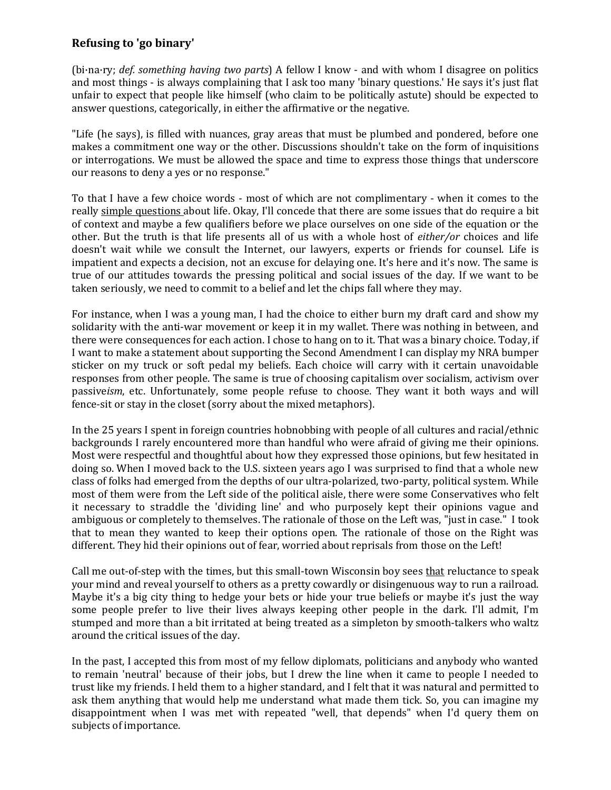## **Refusing to 'go binary'**

(bi·na·ry; *def. something having two parts*) A fellow I know - and with whom I disagree on politics and most things - is always complaining that I ask too many 'binary questions.' He says it's just flat unfair to expect that people like himself (who claim to be politically astute) should be expected to answer questions, categorically, in either the affirmative or the negative.

"Life (he says), is filled with nuances, gray areas that must be plumbed and pondered, before one makes a commitment one way or the other. Discussions shouldn't take on the form of inquisitions or interrogations. We must be allowed the space and time to express those things that underscore our reasons to deny a yes or no response."

To that I have a few choice words - most of which are not complimentary - when it comes to the really simple questions about life. Okay, I'll concede that there are some issues that do require a bit of context and maybe a few qualifiers before we place ourselves on one side of the equation or the other. But the truth is that life presents all of us with a whole host of *either/or* choices and life doesn't wait while we consult the Internet, our lawyers, experts or friends for counsel. Life is impatient and expects a decision, not an excuse for delaying one. It's here and it's now. The same is true of our attitudes towards the pressing political and social issues of the day. If we want to be taken seriously, we need to commit to a belief and let the chips fall where they may.

For instance, when I was a young man, I had the choice to either burn my draft card and show my solidarity with the anti-war movement or keep it in my wallet. There was nothing in between, and there were consequences for each action. I chose to hang on to it. That was a binary choice. Today, if I want to make a statement about supporting the Second Amendment I can display my NRA bumper sticker on my truck or soft pedal my beliefs. Each choice will carry with it certain unavoidable responses from other people. The same is true of choosing capitalism over socialism, activism over passive*ism*, etc. Unfortunately, some people refuse to choose. They want it both ways and will fence-sit or stay in the closet (sorry about the mixed metaphors).

In the 25 years I spent in foreign countries hobnobbing with people of all cultures and racial/ethnic backgrounds I rarely encountered more than handful who were afraid of giving me their opinions. Most were respectful and thoughtful about how they expressed those opinions, but few hesitated in doing so. When I moved back to the U.S. sixteen years ago I was surprised to find that a whole new class of folks had emerged from the depths of our ultra-polarized, two-party, political system. While most of them were from the Left side of the political aisle, there were some Conservatives who felt it necessary to straddle the 'dividing line' and who purposely kept their opinions vague and ambiguous or completely to themselves. The rationale of those on the Left was, "just in case." I took that to mean they wanted to keep their options open. The rationale of those on the Right was different. They hid their opinions out of fear, worried about reprisals from those on the Left!

Call me out-of-step with the times, but this small-town Wisconsin boy sees that reluctance to speak your mind and reveal yourself to others as a pretty cowardly or disingenuous way to run a railroad. Maybe it's a big city thing to hedge your bets or hide your true beliefs or maybe it's just the way some people prefer to live their lives always keeping other people in the dark. I'll admit, I'm stumped and more than a bit irritated at being treated as a simpleton by smooth-talkers who waltz around the critical issues of the day.

In the past, I accepted this from most of my fellow diplomats, politicians and anybody who wanted to remain 'neutral' because of their jobs, but I drew the line when it came to people I needed to trust like my friends. I held them to a higher standard, and I felt that it was natural and permitted to ask them anything that would help me understand what made them tick. So, you can imagine my disappointment when I was met with repeated "well, that depends" when I'd query them on subjects of importance.